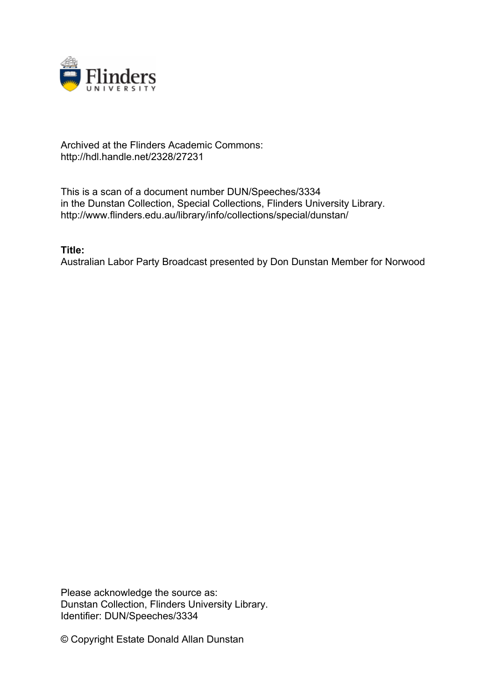

## Archived at the Flinders Academic Commons: http://hdl.handle.net/2328/27231

This is a scan of a document number DUN/Speeches/3334 in the Dunstan Collection, Special Collections, Flinders University Library. http://www.flinders.edu.au/library/info/collections/special/dunstan/

**Title:**

Australian Labor Party Broadcast presented by Don Dunstan Member for Norwood

Please acknowledge the source as: Dunstan Collection, Flinders University Library. Identifier: DUN/Speeches/3334

© Copyright Estate Donald Allan Dunstan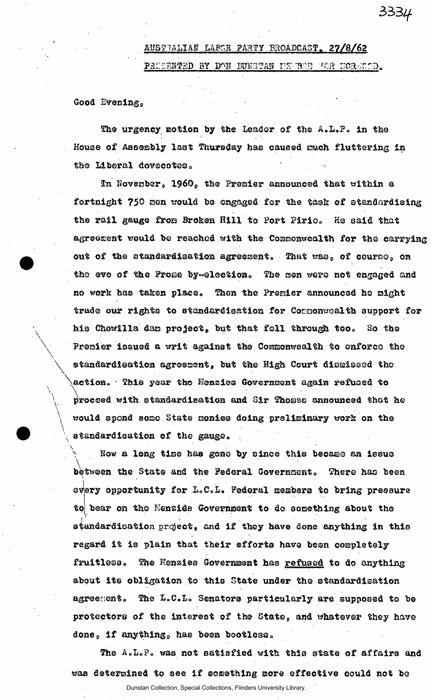## AUSTRALIAN LARGR PARTY BROADCAST. 27/8/62

PRIDENTED BY DON NUNGTAN NEWMED FOR HORMOD.

3334

Good Evening.

The urgency motion by the Leader of the A.L.P. in the House of Assembly last Thursday has caused much fluttering in the Liberal dovecotes.

In November, 1960, the Premier announced that within a fortnight 750 men would be engaged for the task of standardising the rail gauge from Broken Hill to Port Pirie. He said that agreement would be reached with the Commonwealth for the carrying out of the standardisation agreement. That was, of course, on the eve of the Prome by-election. The men were not engaged and no work has taken place. Then the Premier announced he might trade our rights to standardisation for Componwealth support for his Chowllla dan project, but that fell through too. So the Premier issued a writ against the Commovealth to enforce the standardication agreement, but the High Court dismissed the action. This year the Henzies Government again refused to proceed with standardisation and Sir Thomas announced that he would spond some State monies doing preliminary work on the standardisation of the gauge.

Now a long time has gone by since this became an issue between the State and the Pederal Covernment. There has been every opportunity for L.C.L. Pederal members to bring pressure to bear on the Menzide Government to do something about the standardication project, and if they have done anything in this regard it is plain that their efforts have been completely fruitless. The Menzies Government has refused to do anything about its obligation to this State under the standardisation agreement. The L.C.L. Senators particularly are supposed to be protectors of the interest of the State, and whatever they have done, if anything, has been bootless.

The A.L.P. was not satisfied with this state of affairs and was determined to see if something more effective could not be